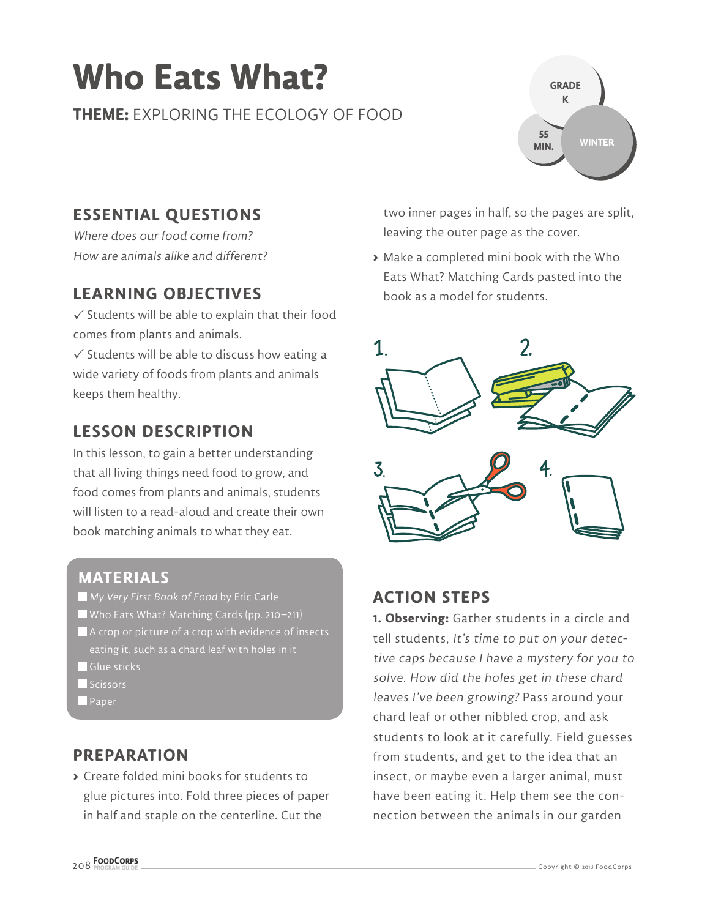# **Who Eats What?**

**THEME:** EXPLORING THE ECOLOGY OF FOOD



Where does our food come from? How are animals alike and different?

### **LEARNING OBJECTIVES**

 $\checkmark$  Students will be able to explain that their food comes from plants and animals.

 $\checkmark$  Students will be able to discuss how eating a wide variety of foods from plants and animals keeps them healthy.

### **LESSON DESCRIPTION**

In this lesson, to gain a better understanding that all living things need food to grow, and food comes from plants and animals, students will listen to a read-aloud and create their own book matching animals to what they eat.

#### **MATERIALS**

- **My Very First Book of Food by Eric Carle**
- Who Eats What? Matching Cards (pp. 210–211)
- A crop or picture of a crop with evidence of insects  $\overline{\mathsf{leating}}$  it, such as a chard leaf with <u>holes in it .</u>
- Glue sticks
- Scissors
- **Paper**

#### **PREPARATION**

**>** Create folded mini books for students to glue pictures into. Fold three pieces of paper in half and staple on the centerline. Cut the

two inner pages in half, so the pages are split, leaving the outer page as the cover.

**GRADE K**

**55 MIN.**

**WINTER**

**>** Make a completed mini book with the Who Eats What? Matching Cards pasted into the book as a model for students.



#### **ACTION STEPS**

**1. Observing:** Gather students in a circle and tell students, It's time to put on your detective caps because I have a mystery for you to solve. How did the holes get in these chard leaves I've been growing? Pass around your chard leaf or other nibbled crop, and ask students to look at it carefully. Field guesses from students, and get to the idea that an insect, or maybe even a larger animal, must have been eating it. Help them see the connection between the animals in our garden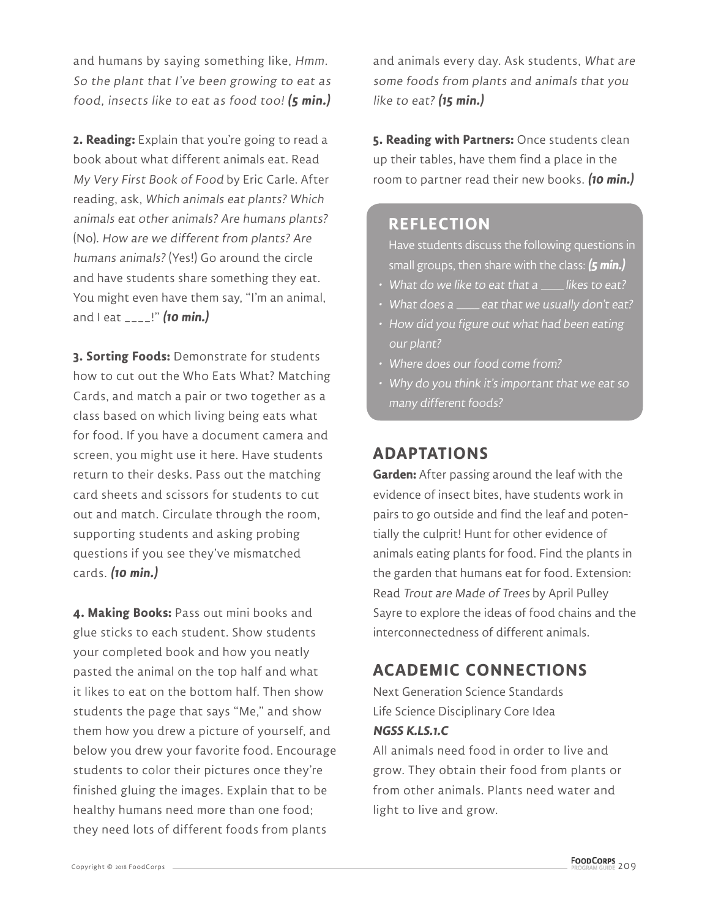and humans by saying something like, Hmm. So the plant that I've been growing to eat as food, insects like to eat as food too! **(5 min.)**

**2. Reading:** Explain that you're going to read a book about what different animals eat. Read My Very First Book of Food by Eric Carle. After reading, ask, Which animals eat plants? Which animals eat other animals? Are humans plants? (No). How are we different from plants? Are humans animals? (Yes!) Go around the circle and have students share something they eat. You might even have them say, "I'm an animal, and I eat \_\_\_\_!" **(10 min.)**

**3. Sorting Foods:** Demonstrate for students how to cut out the Who Eats What? Matching Cards, and match a pair or two together as a class based on which living being eats what for food. If you have a document camera and screen, you might use it here. Have students return to their desks. Pass out the matching card sheets and scissors for students to cut out and match. Circulate through the room, supporting students and asking probing questions if you see they've mismatched cards. **(10 min.)**

**4. Making Books:** Pass out mini books and glue sticks to each student. Show students your completed book and how you neatly pasted the animal on the top half and what it likes to eat on the bottom half. Then show students the page that says "Me," and show them how you drew a picture of yourself, and below you drew your favorite food. Encourage students to color their pictures once they're finished gluing the images. Explain that to be healthy humans need more than one food; they need lots of different foods from plants

and animals every day. Ask students, What are some foods from plants and animals that you like to eat? **(15 min.)**

**5. Reading with Partners:** Once students clean up their tables, have them find a place in the room to partner read their new books. **(10 min.)**

#### **REFLECTION**

Have students discuss the following questions in small groups, then share with the class: **(5 min.)**

- What do we like to eat that a \_\_\_\_\_ likes to eat?
- What does a \_\_\_\_\_ eat that we usually don't eat?
- How did you figure out what had been eating our plant?
- Where does our food come from?
- Why do you think it's important that we eat so many different foods?

## **ADAPTATIONS**

**Garden:** After passing around the leaf with the evidence of insect bites, have students work in pairs to go outside and find the leaf and potentially the culprit! Hunt for other evidence of animals eating plants for food. Find the plants in the garden that humans eat for food. Extension: Read Trout are Made of Trees by April Pulley Sayre to explore the ideas of food chains and the interconnectedness of different animals.

# **ACADEMIC CONNECTIONS**

Next Generation Science Standards Life Science Disciplinary Core Idea **NGSS K.LS.1.C**

All animals need food in order to live and grow. They obtain their food from plants or from other animals. Plants need water and light to live and grow.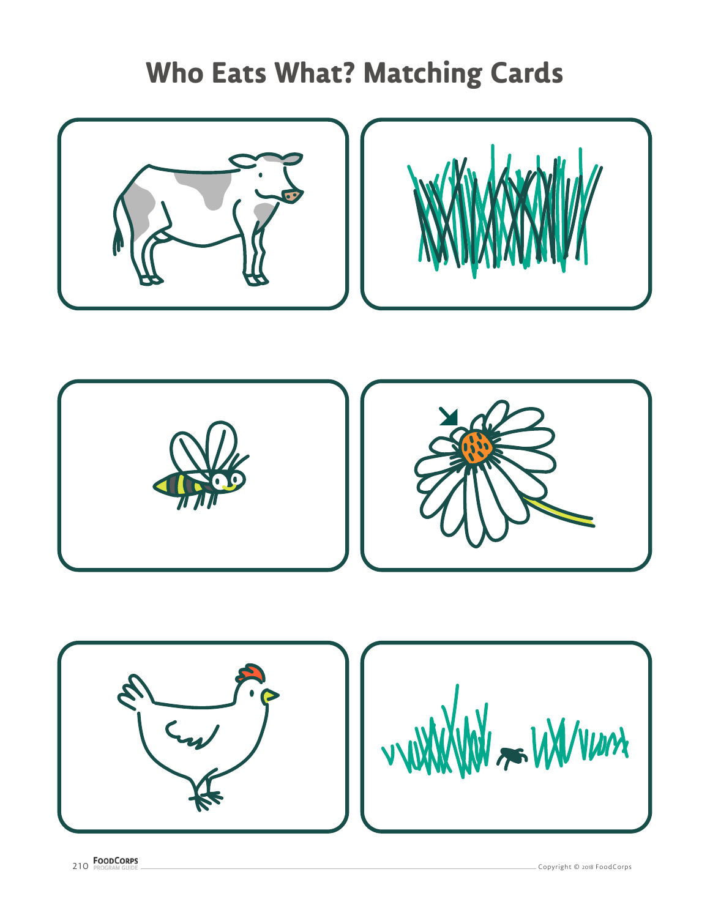# **Who Eats What? Matching Cards**